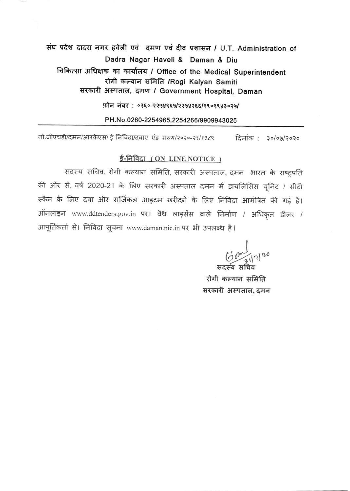## संघ प्रदेश दादरा नगर हवेली एवं दमण एवं दीव प्रशासन / U.T. Administration of Dadra Nagar Haveli & Daman & Diu चिकित्सा अधिक्षक का कार्यालय / Office of the Medical Superintendent रोगी कल्यान समिति /Rogi Kalyan Samiti सरकारी अस्पताल, दमण / Government Hospital, Daman

फोन नंबर: ०२६०-२२५४९६५/२२५४२६६/९९०९९४३०२५/

PH.No.0260-2254965.2254266/9909943025

नो.जीएचडी/दमन/आरकेएस/ ई-निविदा/दवाए एंड सल्य/२०२०-२१/१३८९ दिनांक : ३०/०७/२०२०

#### ई-निविदा (ON LINE NOTICE)

सदस्य सचिव, रोगी कल्यान समिति, सरकारी अस्पताल, दमन भारत के राष्ट्रपति की ओर से, वर्ष 2020-21 के लिए सरकारी अस्पताल दमन में डायलिसिस यूनिट / सीटी स्कैन के लिए दवा और सर्जिकल आइटम खरीदने के लिए निविदा आमंत्रित की गई है। ऑनलाइन www.ddtenders.gov.in पर। वैध लाइसेंस वाले निर्माण / अधिकृत डीलर / आपूर्तिकर्ता से। निविदा सूचना www.daman.nic.in पर भी उपलब्ध है।

 $\frac{(\frac{1}{2})^{n}}{(\frac{1}{2})^{n}}$ 

रोगी कल्यान समिति सरकारी अस्पताल, दमन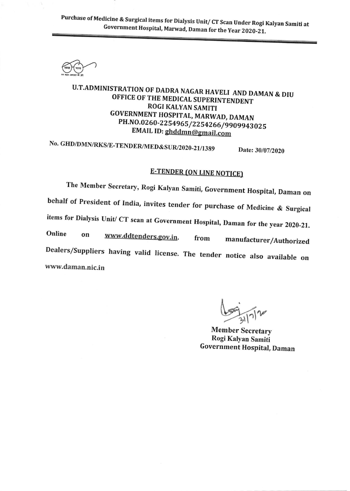Purchase of Medicine & Surgical items for Dialysis Unit/ CT Scan Under Rogi Kalyan Samiti at Government Hospital, Marwad, Daman for the Year 2020-21.

## U.T.ADMINISTRATION OF DADRA NAGAR HAVELI AND DAMAN & DIU OFFICE OF THE MEDICAL SUPERINTENDENT **ROGI KALYAN SAMITI** GOVERNMENT HOSPITAL, MARWAD, DAMAN PH.NO.0260-2254965/2254266/9909943025 EMAIL ID: ghddmn@gmail.com

No. GHD/DMN/RKS/E-TENDER/MED&SUR/2020-21/1389 Date: 30/07/2020

## **E-TENDER (ON LINE NOTICE)**

The Member Secretary, Rogi Kalyan Samiti, Government Hospital, Daman on behalf of President of India, invites tender for purchase of Medicine & Surgical items for Dialysis Unit/ CT scan at Government Hospital, Daman for the year 2020-21. Online www.ddtenders.gov.in. on manufacturer/Authorized from Dealers/Suppliers having valid license. The tender notice also available on www.daman.nic.in

**Member Secretary** Rogi Kalyan Samiti **Government Hospital, Daman**